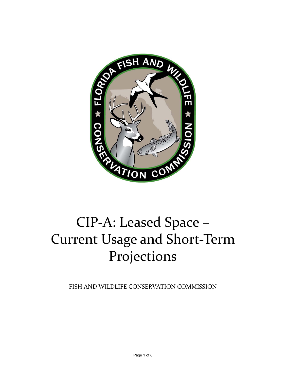

# Current Usage and Short‐Term Projections

FISH AND WILDLIFE CONSERVATION COMMISSION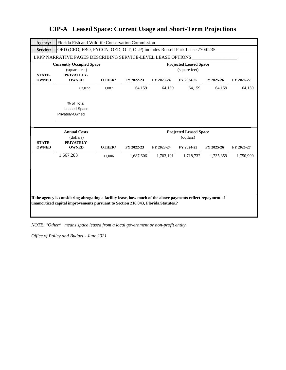| Agency:                       | Florida Fish and Wildlife Conservation Commission                         |        |            |            |                                                          |            |            |
|-------------------------------|---------------------------------------------------------------------------|--------|------------|------------|----------------------------------------------------------|------------|------------|
| <b>Service:</b>               | OED (CRO, FBO, FYCCN, OED, OIT, OLP) includes Russell Park Lease 770:0235 |        |            |            |                                                          |            |            |
|                               | LRPP NARRATIVE PAGES DESCRIBING SERVICE-LEVEL LEASE OPTIONS               |        |            |            |                                                          |            |            |
| <b>STATE-</b>                 | <b>Currently Occupied Space</b><br>(square feet)<br>PRIVATELY-            |        |            |            | <b>Projected Leased Space</b><br>(square feet)           |            |            |
| <b>OWNED</b>                  | <b>OWNED</b>                                                              | OTHER* | FY 2022-23 | FY 2023-24 | FY 2024-25                                               | FY 2025-26 | FY 2026-27 |
|                               | 63,072                                                                    | 1,087  | 64,159     | 64,159     | 64,159                                                   | 64,159     | 64,159     |
|                               | % of Total<br><b>Leased Space</b><br>Privately-Owned                      |        |            |            |                                                          |            |            |
|                               |                                                                           |        |            |            |                                                          |            |            |
| <b>STATE-</b><br><b>OWNED</b> | <b>Annual Costs</b><br>(dollars)<br>PRIVATELY-<br><b>OWNED</b>            | OTHER* | FY 2022-23 | FY 2023-24 | <b>Projected Leased Space</b><br>(dollars)<br>FY 2024-25 | FY 2025-26 | FY 2026-27 |
|                               | 1,667,283                                                                 | 11,006 | 1,687,606  | 1,703,101  | 1,718,732                                                | 1,735,359  | 1,750,990  |

*NOTE: "Other\*" means space leased from a local government or non-profit entity.*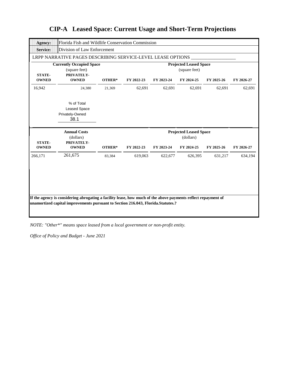| <b>Agency:</b>                | Florida Fish and Wildlife Conservation Commission              |        |            |            |                                                |            |            |
|-------------------------------|----------------------------------------------------------------|--------|------------|------------|------------------------------------------------|------------|------------|
| <b>Service:</b>               | Division of Law Enforcement                                    |        |            |            |                                                |            |            |
|                               | LRPP NARRATIVE PAGES DESCRIBING SERVICE-LEVEL LEASE OPTIONS    |        |            |            |                                                |            |            |
| <b>STATE-</b>                 | <b>Currently Occupied Space</b><br>(square feet)<br>PRIVATELY- |        |            |            | <b>Projected Leased Space</b><br>(square feet) |            |            |
| <b>OWNED</b>                  | <b>OWNED</b>                                                   | OTHER* | FY 2022-23 | FY 2023-24 | FY 2024-25                                     | FY 2025-26 | FY 2026-27 |
| 16,942                        | 24,380                                                         | 21,369 | 62,691     | 62,691     | 62,691                                         | 62,691     | 62,691     |
|                               | % of Total<br><b>Leased Space</b><br>Privately-Owned<br>38.1   |        |            |            |                                                |            |            |
|                               |                                                                |        |            |            |                                                |            |            |
|                               | <b>Annual Costs</b><br>(dollars)                               |        |            |            | <b>Projected Leased Space</b><br>(dollars)     |            |            |
| <b>STATE-</b><br><b>OWNED</b> | PRIVATELY-<br><b>OWNED</b>                                     | OTHER* | FY 2022-23 | FY 2023-24 | FY 2024-25                                     | FY 2025-26 | FY 2026-27 |
| 266,171                       | 261,675                                                        | 83,384 | 619,063    | 622,677    | 626,395                                        | 631,217    | 634,194    |

### **CIP-A Leased Space: Current Usage and Short-Term Projections**

*NOTE: "Other\*" means space leased from a local government or non-profit entity.*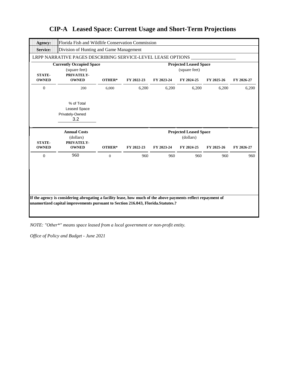| Agency:         | Florida Fish and Wildlife Conservation Commission                                                                                                                                                 |                  |            |            |                                                |            |            |
|-----------------|---------------------------------------------------------------------------------------------------------------------------------------------------------------------------------------------------|------------------|------------|------------|------------------------------------------------|------------|------------|
| <b>Service:</b> | Division of Hunting and Game Management                                                                                                                                                           |                  |            |            |                                                |            |            |
|                 | LRPP NARRATIVE PAGES DESCRIBING SERVICE-LEVEL LEASE OPTIONS                                                                                                                                       |                  |            |            |                                                |            |            |
| <b>STATE-</b>   | <b>Currently Occupied Space</b><br>(square feet)<br>PRIVATELY-                                                                                                                                    |                  |            |            | <b>Projected Leased Space</b><br>(square feet) |            |            |
| <b>OWNED</b>    | <b>OWNED</b>                                                                                                                                                                                      | OTHER*           | FY 2022-23 | FY 2023-24 | FY 2024-25                                     | FY 2025-26 | FY 2026-27 |
| $\mathbf{0}$    | 200                                                                                                                                                                                               | 6,000            | 6,200      | 6,200      | 6,200                                          | 6,200      | 6,200      |
|                 | % of Total<br><b>Leased Space</b><br>Privately-Owned<br>3.2                                                                                                                                       |                  |            |            |                                                |            |            |
|                 |                                                                                                                                                                                                   |                  |            |            |                                                |            |            |
| <b>STATE-</b>   | <b>Annual Costs</b><br>(dollars)<br>PRIVATELY-                                                                                                                                                    |                  |            |            | <b>Projected Leased Space</b><br>(dollars)     |            |            |
| <b>OWNED</b>    | <b>OWNED</b>                                                                                                                                                                                      | OTHER*           | FY 2022-23 | FY 2023-24 | FY 2024-25                                     | FY 2025-26 | FY 2026-27 |
| $\mathbf{0}$    | 960                                                                                                                                                                                               | $\boldsymbol{0}$ | 960        | 960        | 960                                            | 960        | 960        |
|                 |                                                                                                                                                                                                   |                  |            |            |                                                |            |            |
|                 |                                                                                                                                                                                                   |                  |            |            |                                                |            |            |
|                 | If the agency is considering abrogating a facility lease, how much of the above payments reflect repayment of<br>unamortized capital improvements pursuant to Section 216.043, Florida.Statutes.? |                  |            |            |                                                |            |            |

*NOTE: "Other\*" means space leased from a local government or non-profit entity.*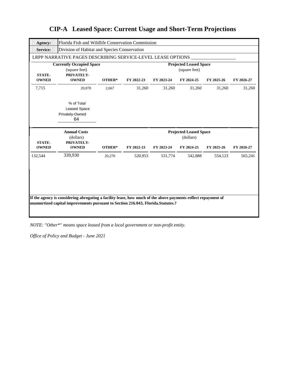| <b>Agency:</b>                | Florida Fish and Wildlife Conservation Commission              |        |            |            |                                                |            |            |
|-------------------------------|----------------------------------------------------------------|--------|------------|------------|------------------------------------------------|------------|------------|
| <b>Service:</b>               | Division of Habitat and Species Conservation                   |        |            |            |                                                |            |            |
|                               | LRPP NARRATIVE PAGES DESCRIBING SERVICE-LEVEL LEASE OPTIONS    |        |            |            |                                                |            |            |
| <b>STATE-</b>                 | <b>Currently Occupied Space</b><br>(square feet)<br>PRIVATELY- |        |            |            | <b>Projected Leased Space</b><br>(square feet) |            |            |
| <b>OWNED</b>                  | <b>OWNED</b>                                                   | OTHER* | FY 2022-23 | FY 2023-24 | FY 2024-25                                     | FY 2025-26 | FY 2026-27 |
| 7,715                         | 20,878                                                         | 2,667  | 31,260     | 31,260     | 31,260                                         | 31,260     | 31,260     |
|                               | % of Total<br><b>Leased Space</b><br>Privately-Owned<br>64     |        |            |            |                                                |            |            |
|                               |                                                                |        |            |            |                                                |            |            |
|                               | <b>Annual Costs</b><br>(dollars)                               |        |            |            | <b>Projected Leased Space</b><br>(dollars)     |            |            |
| <b>STATE-</b><br><b>OWNED</b> | PRIVATELY-<br><b>OWNED</b>                                     | OTHER* | FY 2022-23 | FY 2023-24 | FY 2024-25                                     | FY 2025-26 | FY 2026-27 |
| 132,544                       | 339,930                                                        | 20,270 | 520,953    | 531,774    | 542,888                                        | 554,123    | 565,241    |
|                               |                                                                |        |            |            |                                                |            |            |
|                               |                                                                |        |            |            |                                                |            |            |

*NOTE: "Other\*" means space leased from a local government or non-profit entity.*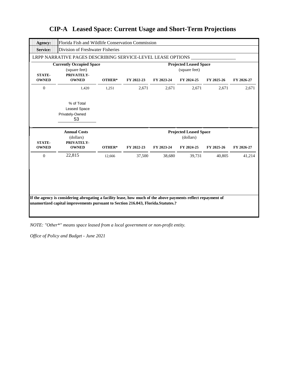| Agency:                       | Florida Fish and Wildlife Conservation Commission              |        |            |            |                                                |            |            |
|-------------------------------|----------------------------------------------------------------|--------|------------|------------|------------------------------------------------|------------|------------|
| <b>Service:</b>               | Division of Freshwater Fisheries                               |        |            |            |                                                |            |            |
|                               | LRPP NARRATIVE PAGES DESCRIBING SERVICE-LEVEL LEASE OPTIONS    |        |            |            |                                                |            |            |
| <b>STATE-</b>                 | <b>Currently Occupied Space</b><br>(square feet)<br>PRIVATELY- |        |            |            | <b>Projected Leased Space</b><br>(square feet) |            |            |
| <b>OWNED</b>                  | <b>OWNED</b>                                                   | OTHER* | FY 2022-23 | FY 2023-24 | FY 2024-25                                     | FY 2025-26 | FY 2026-27 |
| $\mathbf{0}$                  | 1,420                                                          | 1,251  | 2,671      | 2,671      | 2,671                                          | 2,671      | 2,671      |
|                               | % of Total<br><b>Leased Space</b><br>Privately-Owned<br>53     |        |            |            |                                                |            |            |
|                               |                                                                |        |            |            |                                                |            |            |
|                               | <b>Annual Costs</b><br>(dollars)                               |        |            |            | <b>Projected Leased Space</b><br>(dollars)     |            |            |
| <b>STATE-</b><br><b>OWNED</b> | PRIVATELY-<br><b>OWNED</b>                                     | OTHER* | FY 2022-23 | FY 2023-24 | FY 2024-25                                     | FY 2025-26 | FY 2026-27 |
| $\Omega$                      | 22,815                                                         | 12,666 | 37,500     | 38,680     | 39,731                                         | 40,805     | 41,214     |
|                               |                                                                |        |            |            |                                                |            |            |
|                               |                                                                |        |            |            |                                                |            |            |

*NOTE: "Other\*" means space leased from a local government or non-profit entity.*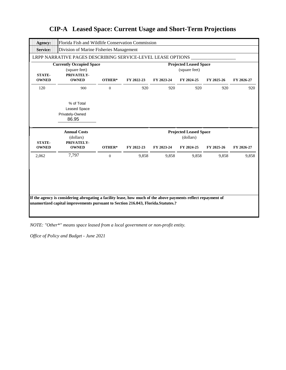| Agency:                       | Florida Fish and Wildlife Conservation Commission              |                  |            |            |                                                |            |            |
|-------------------------------|----------------------------------------------------------------|------------------|------------|------------|------------------------------------------------|------------|------------|
| <b>Service:</b>               | Division of Marine Fisheries Management                        |                  |            |            |                                                |            |            |
|                               | LRPP NARRATIVE PAGES DESCRIBING SERVICE-LEVEL LEASE OPTIONS    |                  |            |            |                                                |            |            |
| <b>STATE-</b>                 | <b>Currently Occupied Space</b><br>(square feet)<br>PRIVATELY- |                  |            |            | <b>Projected Leased Space</b><br>(square feet) |            |            |
| <b>OWNED</b>                  | <b>OWNED</b>                                                   | OTHER*           | FY 2022-23 | FY 2023-24 | FY 2024-25                                     | FY 2025-26 | FY 2026-27 |
| 120                           | 900                                                            | $\overline{0}$   | 920        | 920        | 920                                            | 920        | 920        |
|                               | % of Total<br><b>Leased Space</b><br>Privately-Owned<br>86.95  |                  |            |            |                                                |            |            |
|                               |                                                                |                  |            |            |                                                |            |            |
|                               | <b>Annual Costs</b><br>(dollars)                               |                  |            |            | <b>Projected Leased Space</b><br>(dollars)     |            |            |
| <b>STATE-</b><br><b>OWNED</b> | PRIVATELY-<br><b>OWNED</b>                                     | OTHER*           | FY 2022-23 | FY 2023-24 | FY 2024-25                                     | FY 2025-26 | FY 2026-27 |
| 2,062                         | 7,797                                                          | $\boldsymbol{0}$ | 9,858      | 9,858      | 9,858                                          | 9,858      | 9,858      |

## **CIP-A Leased Space: Current Usage and Short-Term Projections**

*NOTE: "Other\*" means space leased from a local government or non-profit entity.*